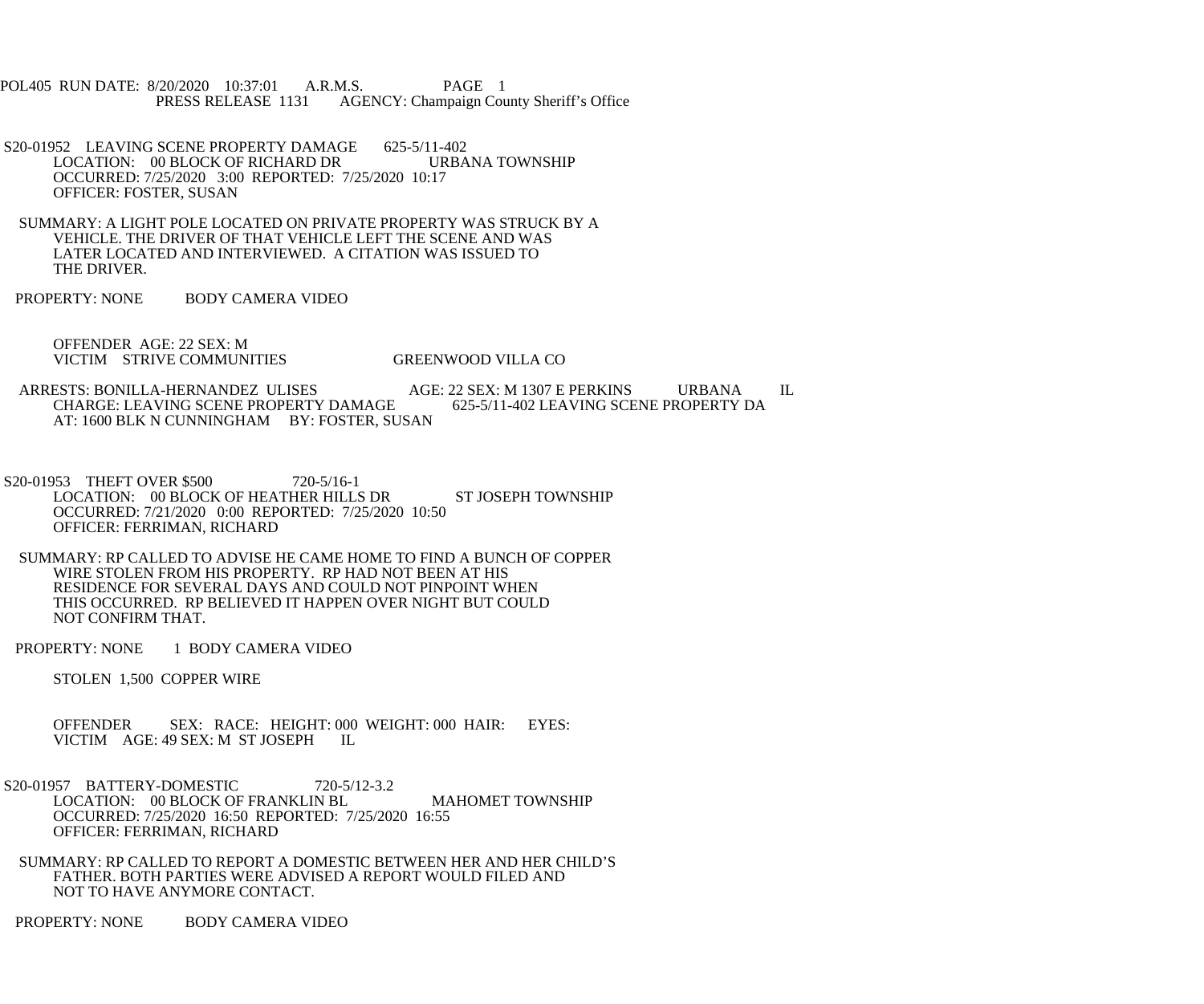POL405 RUN DATE: 8/20/2020 10:37:01 A.R.M.S. PAGE 1<br>PRESS RELEASE 1131 AGENCY: Champaign Cou AGENCY: Champaign County Sheriff's Office

- S20-01952 LEAVING SCENE PROPERTY DAMAGE 625-5/11-402<br>LOCATION: 00 BLOCK OF RICHARD DR URBANA TOWNSHIP LOCATION: 00 BLOCK OF RICHARD DR OCCURRED: 7/25/2020 3:00 REPORTED: 7/25/2020 10:17 OFFICER: FOSTER, SUSAN
- SUMMARY: A LIGHT POLE LOCATED ON PRIVATE PROPERTY WAS STRUCK BY A VEHICLE. THE DRIVER OF THAT VEHICLE LEFT THE SCENE AND WAS LATER LOCATED AND INTERVIEWED. A CITATION WAS ISSUED TO THE DRIVER.
- PROPERTY: NONE BODY CAMERA VIDEO

 OFFENDER AGE: 22 SEX: M VICTIM STRIVE COMMUNITIES GREENWOOD VILLA CO

- ARRESTS: BONILLA-HERNANDEZ ULISES<br>CHARGE: LEAVING SCENE PROPERTY DAMAGE 625-5/11-402 LEAVING SCENE PROPERTY DA CHARGE: LEAVING SCENE PROPERTY DAMAGE AT: 1600 BLK N CUNNINGHAM BY: FOSTER, SUSAN
- S20-01953 THEFT OVER \$500 720-5/16-1 LOCATION: 00 BLOCK OF HEATHER HILLS DR ST JOSEPH TOWNSHIP OCCURRED: 7/21/2020 0:00 REPORTED: 7/25/2020 10:50 OFFICER: FERRIMAN, RICHARD
- SUMMARY: RP CALLED TO ADVISE HE CAME HOME TO FIND A BUNCH OF COPPER WIRE STOLEN FROM HIS PROPERTY. RP HAD NOT BEEN AT HIS RESIDENCE FOR SEVERAL DAYS AND COULD NOT PINPOINT WHEN THIS OCCURRED. RP BELIEVED IT HAPPEN OVER NIGHT BUT COULD NOT CONFIRM THAT.
- PROPERTY: NONE 1 BODY CAMERA VIDEO

STOLEN 1,500 COPPER WIRE

- OFFENDER SEX: RACE: HEIGHT: 000 WEIGHT: 000 HAIR: EYES: VICTIM AGE: 49 SEX: M ST JOSEPH IL
- S20-01957 BATTERY-DOMESTIC 720-5/12-3.2 LOCATION: 00 BLOCK OF FRANKLIN BL MAHOMET TOWNSHIP OCCURRED: 7/25/2020 16:50 REPORTED: 7/25/2020 16:55 OFFICER: FERRIMAN, RICHARD
	- SUMMARY: RP CALLED TO REPORT A DOMESTIC BETWEEN HER AND HER CHILD'S FATHER. BOTH PARTIES WERE ADVISED A REPORT WOULD FILED AND NOT TO HAVE ANYMORE CONTACT.

PROPERTY: NONE BODY CAMERA VIDEO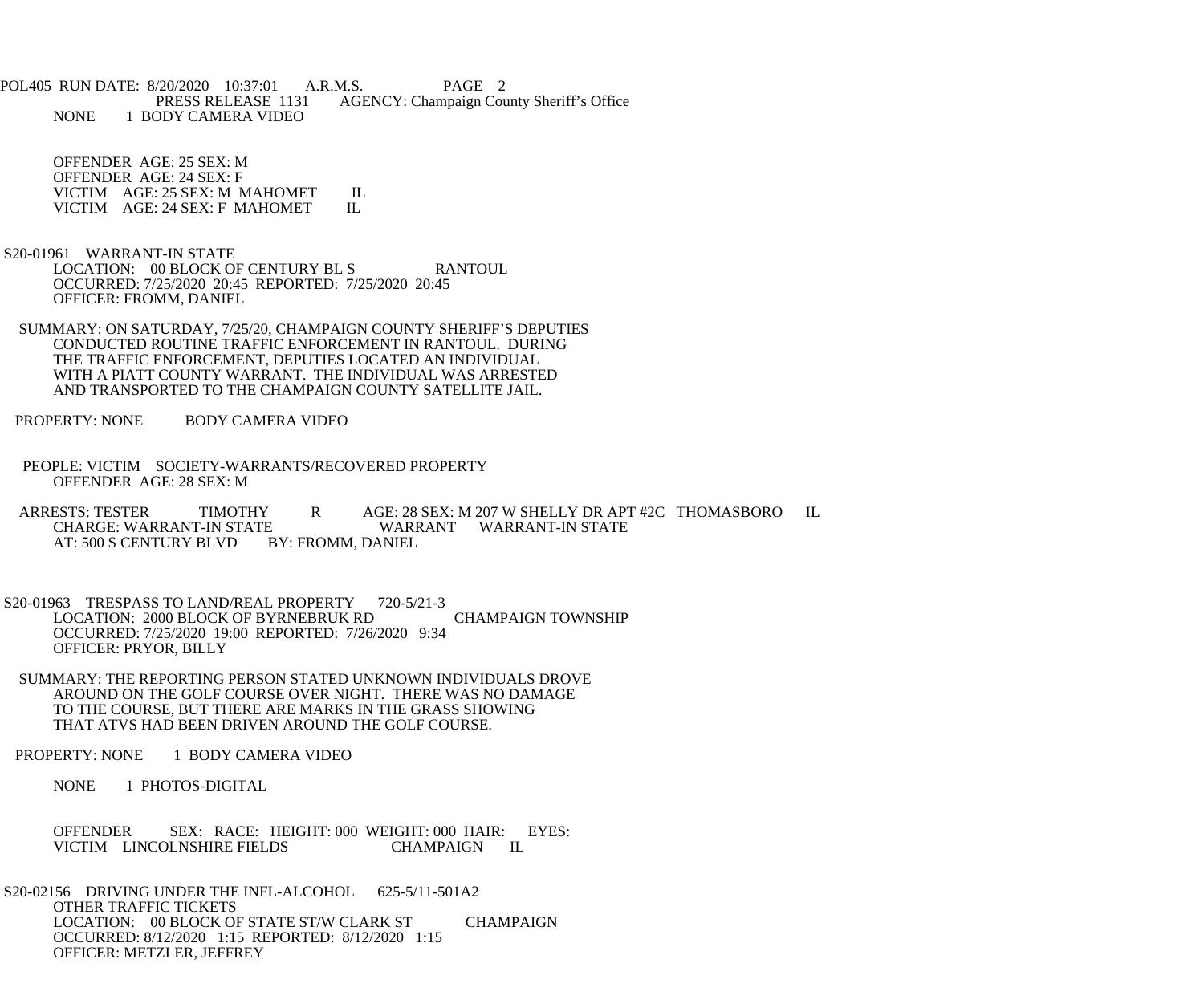POL405 RUN DATE: 8/20/2020 10:37:01 A.R.M.S. PAGE 2<br>PRESS RELEASE 1131 AGENCY: Champaign Cou AGENCY: Champaign County Sheriff's Office NONE 1 BODY CAMERA VIDEO

 OFFENDER AGE: 25 SEX: M OFFENDER AGE: 24 SEX: F VICTIM AGE: 25 SEX: M MAHOMET IL<br>VICTIM AGE: 24 SEX: F MAHOMET IL VICTIM AGE: 24 SEX: F MAHOMET

- S20-01961 WARRANT-IN STATE LOCATION: 00 BLOCK OF CENTURY BL S RANTOUL OCCURRED: 7/25/2020 20:45 REPORTED: 7/25/2020 20:45 OFFICER: FROMM, DANIEL
- SUMMARY: ON SATURDAY, 7/25/20, CHAMPAIGN COUNTY SHERIFF'S DEPUTIES CONDUCTED ROUTINE TRAFFIC ENFORCEMENT IN RANTOUL. DURING THE TRAFFIC ENFORCEMENT, DEPUTIES LOCATED AN INDIVIDUAL WITH A PIATT COUNTY WARRANT. THE INDIVIDUAL WAS ARRESTED AND TRANSPORTED TO THE CHAMPAIGN COUNTY SATELLITE JAIL.
- PROPERTY: NONE BODY CAMERA VIDEO
- PEOPLE: VICTIM SOCIETY-WARRANTS/RECOVERED PROPERTY OFFENDER AGE: 28 SEX: M
- ARRESTS: TESTER TIMOTHY R AGE: 28 SEX: M 207 W SHELLY DR APT #2C THOMASBORO IL CHARGE: WARRANT-IN STATE E WARRANT WARRANT-IN STATE BY: FROMM, DANIEL AT: 500 S CENTURY BLVD
- S20-01963 TRESPASS TO LAND/REAL PROPERTY 720-5/21-3 LOCATION: 2000 BLOCK OF BYRNEBRUK RD CHAMPAIGN TOWNSHIP OCCURRED: 7/25/2020 19:00 REPORTED: 7/26/2020 9:34 OFFICER: PRYOR, BILLY
- SUMMARY: THE REPORTING PERSON STATED UNKNOWN INDIVIDUALS DROVE AROUND ON THE GOLF COURSE OVER NIGHT. THERE WAS NO DAMAGE TO THE COURSE, BUT THERE ARE MARKS IN THE GRASS SHOWING THAT ATVS HAD BEEN DRIVEN AROUND THE GOLF COURSE.
- PROPERTY: NONE 1 BODY CAMERA VIDEO

NONE 1 PHOTOS-DIGITAL

 OFFENDER SEX: RACE: HEIGHT: 000 WEIGHT: 000 HAIR: EYES: VICTIM LINCOLNSHIRE FIELDS CHAMPAIGN IL

S20-02156 DRIVING UNDER THE INFL-ALCOHOL 625-5/11-501A2 OTHER TRAFFIC TICKETS LOCATION: 00 BLOCK OF STATE ST/W CLARK ST CHAMPAIGN OCCURRED: 8/12/2020 1:15 REPORTED: 8/12/2020 1:15 OFFICER: METZLER, JEFFREY